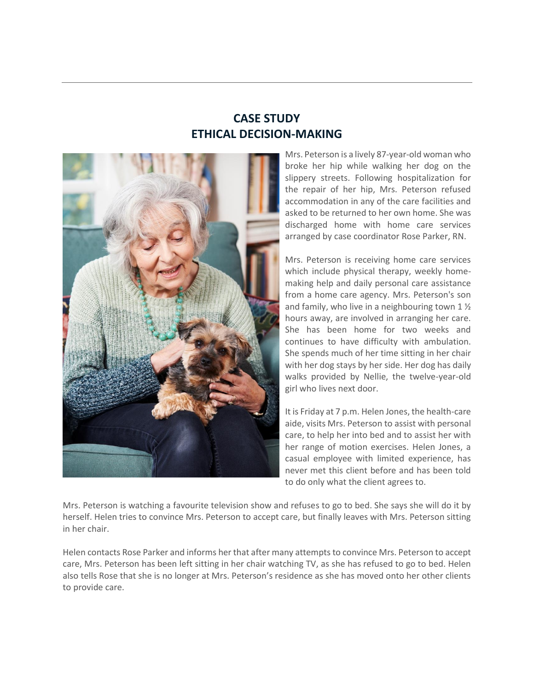# **CASE STUDY ETHICAL DECISION-MAKING**



Mrs. Peterson is a lively 87-year-old woman who broke her hip while walking her dog on the slippery streets. Following hospitalization for the repair of her hip, Mrs. Peterson refused accommodation in any of the care facilities and asked to be returned to her own home. She was discharged home with home care services arranged by case coordinator Rose Parker, RN.

Mrs. Peterson is receiving home care services which include physical therapy, weekly homemaking help and daily personal care assistance from a home care agency. Mrs. Peterson's son and family, who live in a neighbouring town 1 ½ hours away, are involved in arranging her care. She has been home for two weeks and continues to have difficulty with ambulation. She spends much of her time sitting in her chair with her dog stays by her side. Her dog has daily walks provided by Nellie, the twelve-year-old girl who lives next door.

It is Friday at 7 p.m. Helen Jones, the health-care aide, visits Mrs. Peterson to assist with personal care, to help her into bed and to assist her with her range of motion exercises. Helen Jones, a casual employee with limited experience, has never met this client before and has been told to do only what the client agrees to.

Mrs. Peterson is watching a favourite television show and refuses to go to bed. She says she will do it by herself. Helen tries to convince Mrs. Peterson to accept care, but finally leaves with Mrs. Peterson sitting in her chair.

Helen contacts Rose Parker and informs her that after many attempts to convince Mrs. Peterson to accept care, Mrs. Peterson has been left sitting in her chair watching TV, as she has refused to go to bed. Helen also tells Rose that she is no longer at Mrs. Peterson's residence as she has moved onto her other clients to provide care.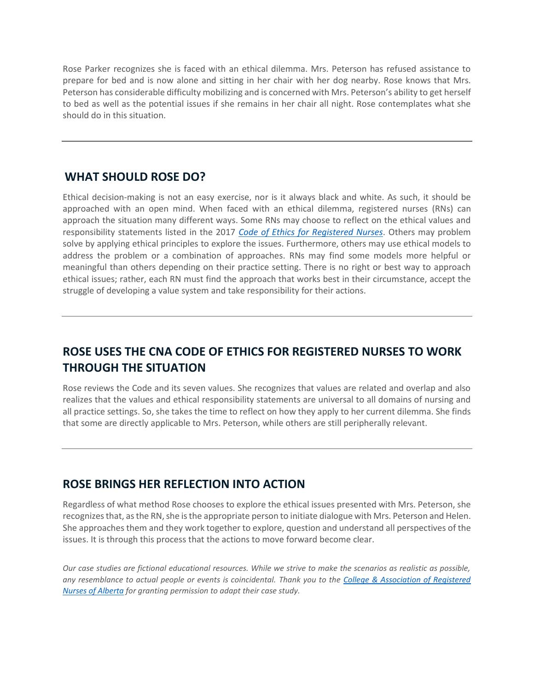Rose Parker recognizes she is faced with an ethical dilemma. Mrs. Peterson has refused assistance to prepare for bed and is now alone and sitting in her chair with her dog nearby. Rose knows that Mrs. Peterson has considerable difficulty mobilizing and is concerned with Mrs. Peterson's ability to get herself to bed as well as the potential issues if she remains in her chair all night. Rose contemplates what she should do in this situation.

#### **WHAT SHOULD ROSE DO?**

Ethical decision-making is not an easy exercise, nor is it always black and white. As such, it should be approached with an open mind. When faced with an ethical dilemma, registered nurses (RNs) can approach the situation many different ways. Some RNs may choose to reflect on the ethical values and responsibility statements listed in the 2017 *[Code of Ethics for Registered Nurses](https://www.cna-aiic.ca/en/nursing-practice/nursing-ethics)*. Others may problem solve by applying ethical principles to explore the issues. Furthermore, others may use ethical models to address the problem or a combination of approaches. RNs may find some models more helpful or meaningful than others depending on their practice setting. There is no right or best way to approach ethical issues; rather, each RN must find the approach that works best in their circumstance, accept the struggle of developing a value system and take responsibility for their actions.

# **ROSE USES THE [CNA CODE OF ETHICS FOR REGISTERED NURSES](https://www.cna-aiic.ca/en/nursing-practice/nursing-ethics) TO WORK THROUGH THE SITUATION**

Rose reviews the Code and its seven values. She recognizes that values are related and overlap and also realizes that the values and ethical responsibility statements are universal to all domains of nursing and all practice settings. So, she takes the time to reflect on how they apply to her current dilemma. She finds that some are directly applicable to Mrs. Peterson, while others are still peripherally relevant.

#### **ROSE BRINGS HER REFLECTION INTO ACTION**

Regardless of what method Rose chooses to explore the ethical issues presented with Mrs. Peterson, she recognizes that, as the RN, she is the appropriate person to initiate dialogue with Mrs. Peterson and Helen. She approaches them and they work together to explore, question and understand all perspectives of the issues. It is through this process that the actions to move forward become clear.

*Our case studies are fictional educational resources. While we strive to make the scenarios as realistic as possible, any resemblance to actual people or events is coincidental. Thank you to the [College & Association of Registered](https://www.nurses.ab.ca/)  [Nurses of Alberta](https://www.nurses.ab.ca/) for granting permission to adapt their case study.*